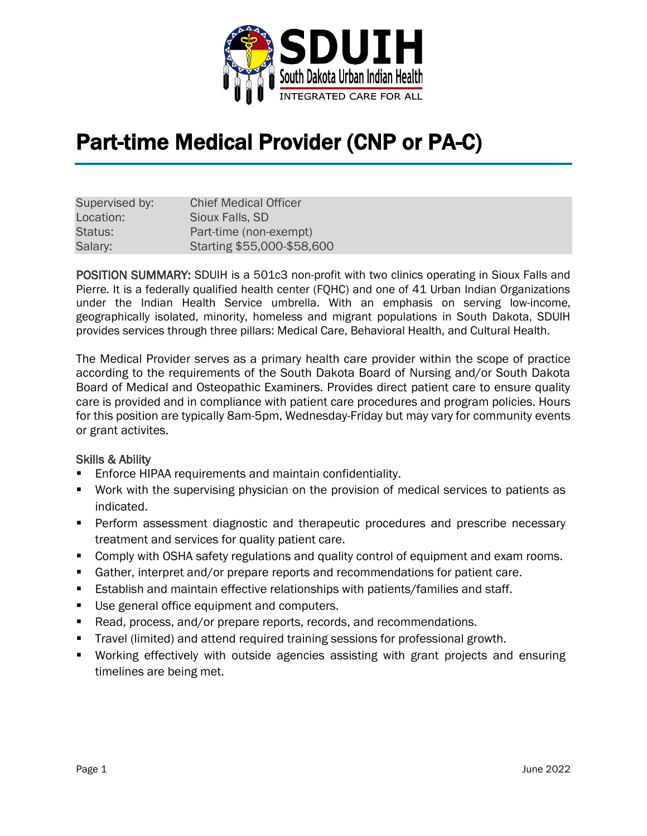

# Part-time Medical Provider (CNP or PA-C)

| Supervised by: | <b>Chief Medical Officer</b> |
|----------------|------------------------------|
| Location:      | Sioux Falls, SD              |
| Status:        | Part-time (non-exempt)       |
| Salary:        | Starting \$55,000-\$58,600   |

POSITION SUMMARY: SDUIH is a 501c3 non-profit with two clinics operating in Sioux Falls and Pierre. It is a federally qualified health center (FQHC) and one of 41 Urban Indian Organizations under the Indian Health Service umbrella. With an emphasis on serving low-income, geographically isolated, minority, homeless and migrant populations in South Dakota, SDUIH provides services through three pillars: Medical Care, Behavioral Health, and Cultural Health.

The Medical Provider serves as a primary health care provider within the scope of practice according to the requirements of the South Dakota Board of Nursing and/or South Dakota Board of Medical and Osteopathic Examiners. Provides direct patient care to ensure quality care is provided and in compliance with patient care procedures and program policies. Hours for this position are typically 8am-5pm, Wednesday-Friday but may vary for community events or grant activites.

#### Skills & Ability

- Enforce HIPAA requirements and maintain confidentiality.
- Work with the supervising physician on the provision of medical services to patients as indicated.
- **Perform assessment diagnostic and therapeutic procedures and prescribe necessary** treatment and services for quality patient care.
- **Comply with OSHA safety regulations and quality control of equipment and exam rooms.**
- Gather, interpret and/or prepare reports and recommendations for patient care.
- **Establish and maintain effective relationships with patients/families and staff.**
- Use general office equipment and computers.
- Read, process, and/or prepare reports, records, and recommendations.
- Travel (limited) and attend required training sessions for professional growth.
- Working effectively with outside agencies assisting with grant projects and ensuring timelines are being met.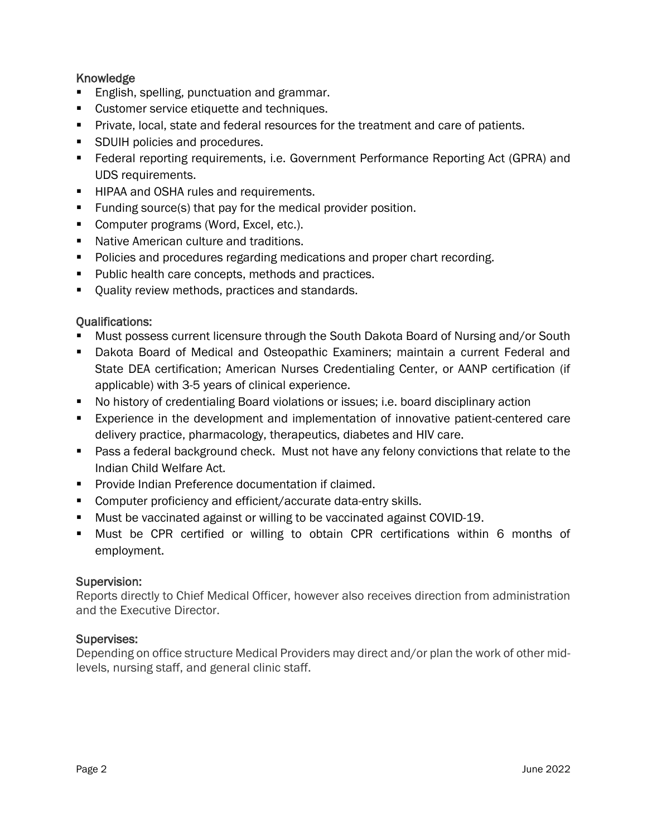## Knowledge

- English, spelling, punctuation and grammar.
- **Customer service etiquette and techniques.**
- **Private, local, state and federal resources for the treatment and care of patients.**
- **SDUIH policies and procedures.**
- Federal reporting requirements, i.e. Government Performance Reporting Act (GPRA) and UDS requirements.
- **HIPAA and OSHA rules and requirements.**
- **Funding source(s) that pay for the medical provider position.**
- Computer programs (Word, Excel, etc.).
- **Native American culture and traditions.**
- **Policies and procedures regarding medications and proper chart recording.**
- **Public health care concepts, methods and practices.**
- **Quality review methods, practices and standards.**

## Qualifications:

- Must possess current licensure through the South Dakota Board of Nursing and/or South
- Dakota Board of Medical and Osteopathic Examiners; maintain a current Federal and State DEA certification; American Nurses Credentialing Center, or AANP certification (if applicable) with 3-5 years of clinical experience.
- No history of credentialing Board violations or issues; i.e. board disciplinary action
- Experience in the development and implementation of innovative patient-centered care delivery practice, pharmacology, therapeutics, diabetes and HIV care.
- **Pass a federal background check. Must not have any felony convictions that relate to the** Indian Child Welfare Act.
- **Provide Indian Preference documentation if claimed.**
- **Computer proficiency and efficient/accurate data-entry skills.**
- Must be vaccinated against or willing to be vaccinated against COVID-19.
- Must be CPR certified or willing to obtain CPR certifications within 6 months of employment.

## Supervision:

Reports directly to Chief Medical Officer, however also receives direction from administration and the Executive Director.

## Supervises:

Depending on office structure Medical Providers may direct and/or plan the work of other midlevels, nursing staff, and general clinic staff.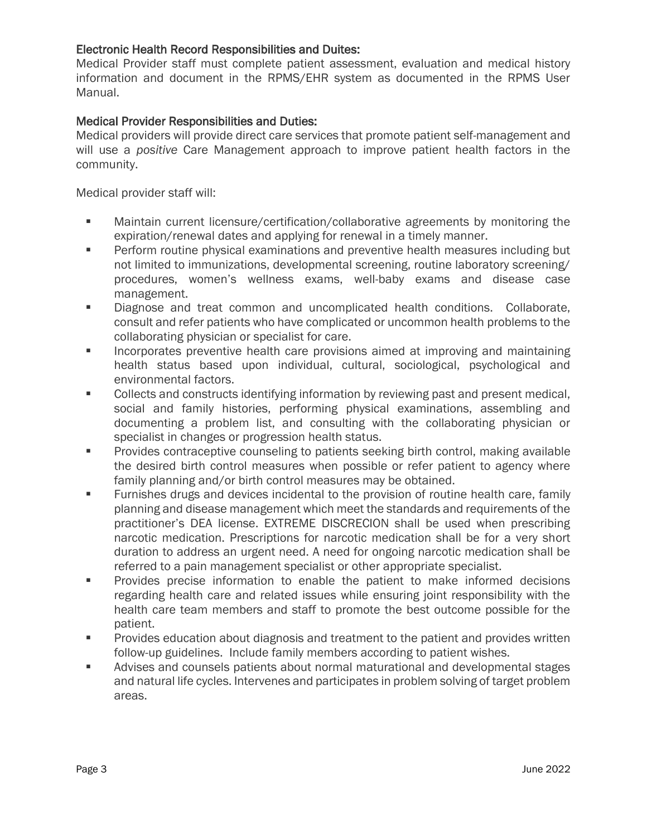#### Electronic Health Record Responsibilities and Duites:

Medical Provider staff must complete patient assessment, evaluation and medical history information and document in the RPMS/EHR system as documented in the RPMS User Manual.

### Medical Provider Responsibilities and Duties:

Medical providers will provide direct care services that promote patient self-management and will use a *positive* Care Management approach to improve patient health factors in the community.

Medical provider staff will:

- Maintain current licensure/certification/collaborative agreements by monitoring the expiration/renewal dates and applying for renewal in a timely manner.
- **Perform routine physical examinations and preventive health measures including but** not limited to immunizations, developmental screening, routine laboratory screening/ procedures, women's wellness exams, well-baby exams and disease case management.
- **Diagnose and treat common and uncomplicated health conditions. Collaborate,** consult and refer patients who have complicated or uncommon health problems to the collaborating physician or specialist for care.
- **Incorporates preventive health care provisions aimed at improving and maintaining** health status based upon individual, cultural, sociological, psychological and environmental factors.
- **Collects and constructs identifying information by reviewing past and present medical,** social and family histories, performing physical examinations, assembling and documenting a problem list, and consulting with the collaborating physician or specialist in changes or progression health status.
- Provides contraceptive counseling to patients seeking birth control, making available the desired birth control measures when possible or refer patient to agency where family planning and/or birth control measures may be obtained.
- Furnishes drugs and devices incidental to the provision of routine health care, family planning and disease management which meet the standards and requirements of the practitioner's DEA license. EXTREME DISCRECION shall be used when prescribing narcotic medication. Prescriptions for narcotic medication shall be for a very short duration to address an urgent need. A need for ongoing narcotic medication shall be referred to a pain management specialist or other appropriate specialist.
- **Provides precise information to enable the patient to make informed decisions** regarding health care and related issues while ensuring joint responsibility with the health care team members and staff to promote the best outcome possible for the patient.
- **Provides education about diagnosis and treatment to the patient and provides written** follow-up guidelines. Include family members according to patient wishes.
- Advises and counsels patients about normal maturational and developmental stages and natural life cycles. Intervenes and participates in problem solving of target problem areas.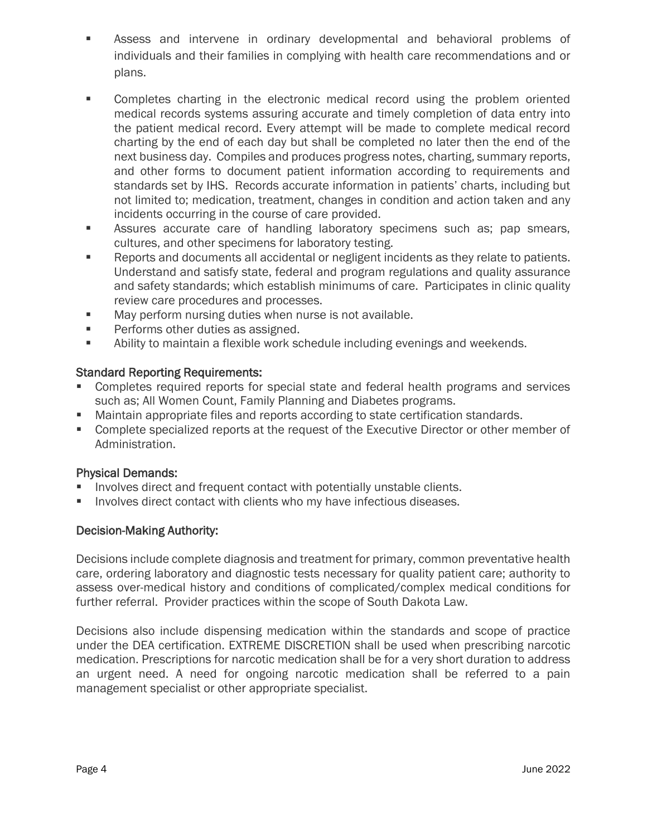- Assess and intervene in ordinary developmental and behavioral problems of individuals and their families in complying with health care recommendations and or plans.
- Completes charting in the electronic medical record using the problem oriented medical records systems assuring accurate and timely completion of data entry into the patient medical record. Every attempt will be made to complete medical record charting by the end of each day but shall be completed no later then the end of the next business day. Compiles and produces progress notes, charting, summary reports, and other forms to document patient information according to requirements and standards set by IHS. Records accurate information in patients' charts, including but not limited to; medication, treatment, changes in condition and action taken and any incidents occurring in the course of care provided.
- Assures accurate care of handling laboratory specimens such as; pap smears, cultures, and other specimens for laboratory testing.
- **Reports and documents all accidental or negligent incidents as they relate to patients.** Understand and satisfy state, federal and program regulations and quality assurance and safety standards; which establish minimums of care. Participates in clinic quality review care procedures and processes.
- **May perform nursing duties when nurse is not available.**
- Performs other duties as assigned.
- Ability to maintain a flexible work schedule including evenings and weekends.

#### Standard Reporting Requirements:

- Completes required reports for special state and federal health programs and services such as; All Women Count, Family Planning and Diabetes programs.
- Maintain appropriate files and reports according to state certification standards.
- Complete specialized reports at the request of the Executive Director or other member of Administration.

#### Physical Demands:

- Involves direct and frequent contact with potentially unstable clients.
- Involves direct contact with clients who my have infectious diseases.

#### Decision-Making Authority:

Decisions include complete diagnosis and treatment for primary, common preventative health care, ordering laboratory and diagnostic tests necessary for quality patient care; authority to assess over-medical history and conditions of complicated/complex medical conditions for further referral. Provider practices within the scope of South Dakota Law.

Decisions also include dispensing medication within the standards and scope of practice under the DEA certification. EXTREME DISCRETION shall be used when prescribing narcotic medication. Prescriptions for narcotic medication shall be for a very short duration to address an urgent need. A need for ongoing narcotic medication shall be referred to a pain management specialist or other appropriate specialist.